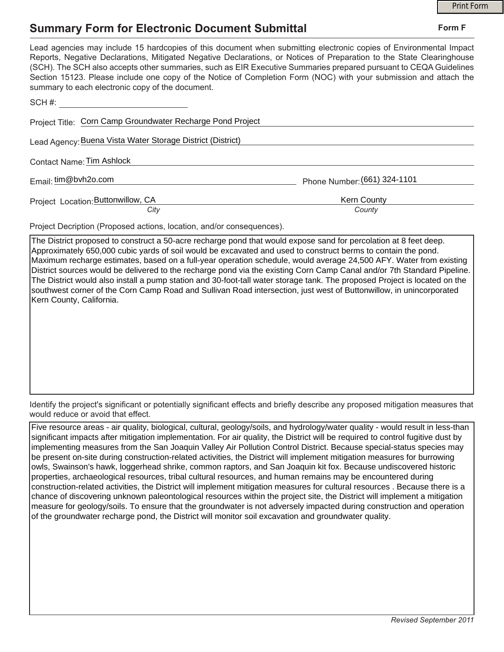## **Summary Form for Electronic Document Submittal**

|                                                                                                                                                                                                                                                                                                                                                                                                                                                                                                                                           |                              | <b>Print Form</b> |  |
|-------------------------------------------------------------------------------------------------------------------------------------------------------------------------------------------------------------------------------------------------------------------------------------------------------------------------------------------------------------------------------------------------------------------------------------------------------------------------------------------------------------------------------------------|------------------------------|-------------------|--|
| <b>Summary Form for Electronic Document Submittal</b>                                                                                                                                                                                                                                                                                                                                                                                                                                                                                     | Form F                       |                   |  |
| Lead agencies may include 15 hardcopies of this document when submitting electronic copies of Environmental Impact<br>Reports, Negative Declarations, Mitigated Negative Declarations, or Notices of Preparation to the State Clearinghouse<br>(SCH). The SCH also accepts other summaries, such as EIR Executive Summaries prepared pursuant to CEQA Guidelines<br>Section 15123. Please include one copy of the Notice of Completion Form (NOC) with your submission and attach the<br>summary to each electronic copy of the document. |                              |                   |  |
| SCH#:                                                                                                                                                                                                                                                                                                                                                                                                                                                                                                                                     |                              |                   |  |
| Project Title: Corn Camp Groundwater Recharge Pond Project                                                                                                                                                                                                                                                                                                                                                                                                                                                                                |                              |                   |  |
| Lead Agency: Buena Vista Water Storage District (District)                                                                                                                                                                                                                                                                                                                                                                                                                                                                                |                              |                   |  |
| Contact Name: Tim Ashlock                                                                                                                                                                                                                                                                                                                                                                                                                                                                                                                 |                              |                   |  |
| Email: tim@bvh2o.com                                                                                                                                                                                                                                                                                                                                                                                                                                                                                                                      | Phone Number: (661) 324-1101 |                   |  |
| Project Location: Buttonwillow, CA                                                                                                                                                                                                                                                                                                                                                                                                                                                                                                        | Kern County                  |                   |  |
| City                                                                                                                                                                                                                                                                                                                                                                                                                                                                                                                                      | County                       |                   |  |

Project Decription (Proposed actions, location, and/or consequences).

The District proposed to construct a 50-acre recharge pond that would expose sand for percolation at 8 feet deep. Approximately 650,000 cubic yards of soil would be excavated and used to construct berms to contain the pond. Maximum recharge estimates, based on a full-year operation schedule, would average 24,500 AFY. Water from existing District sources would be delivered to the recharge pond via the existing Corn Camp Canal and/or 7th Standard Pipeline. The District would also install a pump station and 30-foot-tall water storage tank. The proposed Project is located on the southwest corner of the Corn Camp Road and Sullivan Road intersection, just west of Buttonwillow, in unincorporated Kern County, California.

Identify the project's significant or potentially significant effects and briefly describe any proposed mitigation measures that would reduce or avoid that effect.

Five resource areas - air quality, biological, cultural, geology/soils, and hydrology/water quality - would result in less-than significant impacts after mitigation implementation. For air quality, the District will be required to control fugitive dust by implementing measures from the San Joaquin Valley Air Pollution Control District. Because special-status species may be present on-site during construction-related activities, the District will implement mitigation measures for burrowing owls, Swainson's hawk, loggerhead shrike, common raptors, and San Joaquin kit fox. Because undiscovered historic properties, archaeological resources, tribal cultural resources, and human remains may be encountered during construction-related activities, the District will implement mitigation measures for cultural resources . Because there is a chance of discovering unknown paleontological resources within the project site, the District will implement a mitigation measure for geology/soils. To ensure that the groundwater is not adversely impacted during construction and operation of the groundwater recharge pond, the District will monitor soil excavation and groundwater quality.